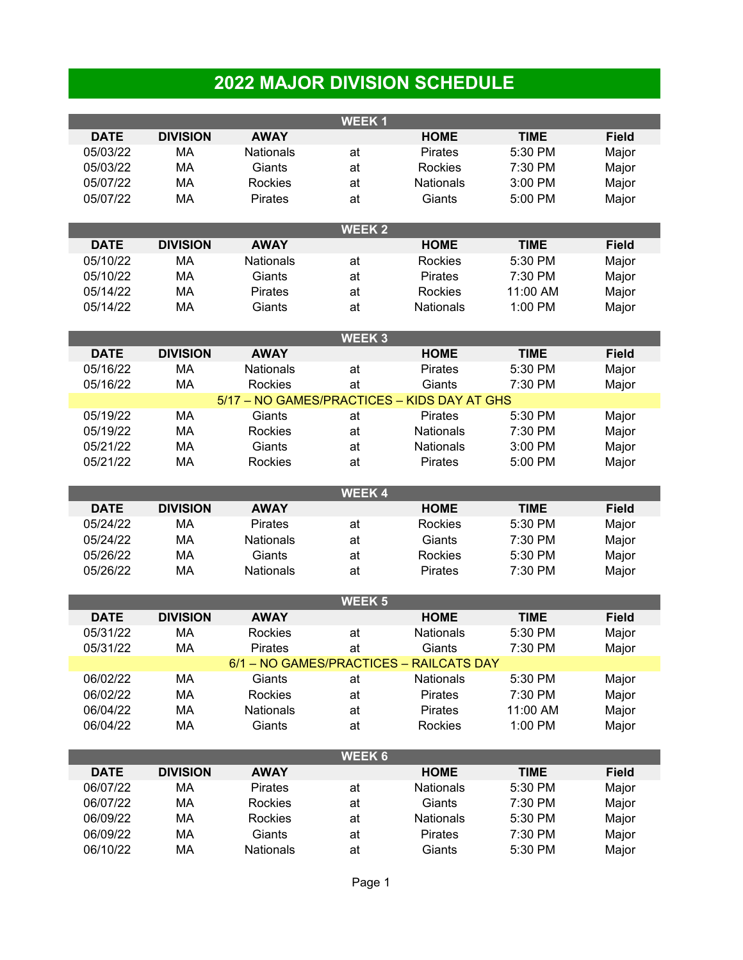## **2022 MAJOR DIVISION SCHEDULE**

| <b>WEEK1</b> |                 |                  |               |                                             |             |              |  |  |  |  |
|--------------|-----------------|------------------|---------------|---------------------------------------------|-------------|--------------|--|--|--|--|
| <b>DATE</b>  | <b>DIVISION</b> | <b>AWAY</b>      |               | <b>HOME</b>                                 | <b>TIME</b> | <b>Field</b> |  |  |  |  |
| 05/03/22     | МA              | <b>Nationals</b> | at            | Pirates                                     | 5:30 PM     | Major        |  |  |  |  |
| 05/03/22     | MA              | Giants           | at            | Rockies                                     | 7:30 PM     | Major        |  |  |  |  |
| 05/07/22     | MA              | Rockies          | at            | <b>Nationals</b>                            | 3:00 PM     | Major        |  |  |  |  |
| 05/07/22     | <b>MA</b>       | Pirates          | at            | Giants                                      | 5:00 PM     | Major        |  |  |  |  |
|              |                 |                  |               |                                             |             |              |  |  |  |  |
|              |                 |                  | <b>WEEK2</b>  |                                             |             |              |  |  |  |  |
| <b>DATE</b>  | <b>DIVISION</b> | <b>AWAY</b>      |               | <b>HOME</b>                                 | <b>TIME</b> | <b>Field</b> |  |  |  |  |
| 05/10/22     | <b>MA</b>       | <b>Nationals</b> | at            | Rockies                                     | 5:30 PM     | Major        |  |  |  |  |
| 05/10/22     | MA              | Giants           | at            | Pirates                                     | 7:30 PM     | Major        |  |  |  |  |
| 05/14/22     | MA              | <b>Pirates</b>   | at            | Rockies                                     | 11:00 AM    | Major        |  |  |  |  |
| 05/14/22     | MA              | Giants           | at            | <b>Nationals</b>                            | 1:00 PM     |              |  |  |  |  |
|              |                 |                  |               |                                             |             | Major        |  |  |  |  |
|              |                 |                  | <b>WEEK3</b>  |                                             |             |              |  |  |  |  |
| <b>DATE</b>  | <b>DIVISION</b> | <b>AWAY</b>      |               | <b>HOME</b>                                 | <b>TIME</b> | <b>Field</b> |  |  |  |  |
| 05/16/22     | MA              | <b>Nationals</b> | at            | <b>Pirates</b>                              | 5:30 PM     | Major        |  |  |  |  |
| 05/16/22     | <b>MA</b>       | <b>Rockies</b>   | at            | Giants                                      | 7:30 PM     | Major        |  |  |  |  |
|              |                 |                  |               | 5/17 - NO GAMES/PRACTICES - KIDS DAY AT GHS |             |              |  |  |  |  |
| 05/19/22     | MA              | Giants           | at            | <b>Pirates</b>                              | 5:30 PM     | Major        |  |  |  |  |
| 05/19/22     | MA              | Rockies          |               | <b>Nationals</b>                            | 7:30 PM     |              |  |  |  |  |
|              |                 | Giants           | at            |                                             |             | Major        |  |  |  |  |
| 05/21/22     | MA              |                  | at            | <b>Nationals</b>                            | 3:00 PM     | Major        |  |  |  |  |
| 05/21/22     | MA              | Rockies          | at            | <b>Pirates</b>                              | 5:00 PM     | Major        |  |  |  |  |
|              |                 |                  | <b>WEEK4</b>  |                                             |             |              |  |  |  |  |
| <b>DATE</b>  | <b>DIVISION</b> | <b>AWAY</b>      |               | <b>HOME</b>                                 | <b>TIME</b> | <b>Field</b> |  |  |  |  |
| 05/24/22     | MA              | <b>Pirates</b>   | at            | Rockies                                     | 5:30 PM     | Major        |  |  |  |  |
| 05/24/22     | MA              | <b>Nationals</b> | at            | Giants                                      | 7:30 PM     | Major        |  |  |  |  |
| 05/26/22     | MA              | Giants           | at            | Rockies                                     | 5:30 PM     | Major        |  |  |  |  |
| 05/26/22     | MA              | <b>Nationals</b> | at            | <b>Pirates</b>                              | 7:30 PM     | Major        |  |  |  |  |
|              |                 |                  |               |                                             |             |              |  |  |  |  |
|              |                 |                  |               |                                             |             |              |  |  |  |  |
|              |                 |                  |               |                                             |             |              |  |  |  |  |
|              |                 |                  | <b>WEEK 5</b> |                                             |             |              |  |  |  |  |
| <b>DATE</b>  | <b>DIVISION</b> | <b>AWAY</b>      |               | <b>HOME</b>                                 | <b>TIME</b> | <b>Field</b> |  |  |  |  |
| 05/31/22     | MA              | Rockies          | at            | Nationals                                   | 5:30 PM     | Major        |  |  |  |  |
| 05/31/22     | <b>MA</b>       | Pirates          | at            | Giants                                      | 7:30 PM     | Major        |  |  |  |  |
|              |                 |                  |               | 6/1 - NO GAMES/PRACTICES - RAILCATS DAY     |             |              |  |  |  |  |
| 06/02/22     | MA              | Giants           | at            | Nationals                                   | 5:30 PM     | Major        |  |  |  |  |
| 06/02/22     | MA              | Rockies          | at            | Pirates                                     | 7:30 PM     | Major        |  |  |  |  |
| 06/04/22     | MA              | Nationals        | at            | Pirates                                     | 11:00 AM    | Major        |  |  |  |  |
| 06/04/22     | MA              | Giants           | at            | Rockies                                     | 1:00 PM     | Major        |  |  |  |  |
|              |                 |                  |               |                                             |             |              |  |  |  |  |
|              |                 | <b>AWAY</b>      | <b>WEEK 6</b> |                                             |             |              |  |  |  |  |
| <b>DATE</b>  | <b>DIVISION</b> |                  |               | <b>HOME</b>                                 | <b>TIME</b> | <b>Field</b> |  |  |  |  |
| 06/07/22     | MA              | Pirates          | at            | <b>Nationals</b>                            | 5:30 PM     | Major        |  |  |  |  |
| 06/07/22     | MA              | Rockies          | at            | Giants                                      | 7:30 PM     | Major        |  |  |  |  |
| 06/09/22     | MA              | Rockies          | at            | Nationals                                   | 5:30 PM     | Major        |  |  |  |  |
| 06/09/22     | MA              | Giants           | at            | Pirates                                     | 7:30 PM     | Major        |  |  |  |  |
| 06/10/22     | MA              | Nationals        | at            | Giants                                      | 5:30 PM     | Major        |  |  |  |  |